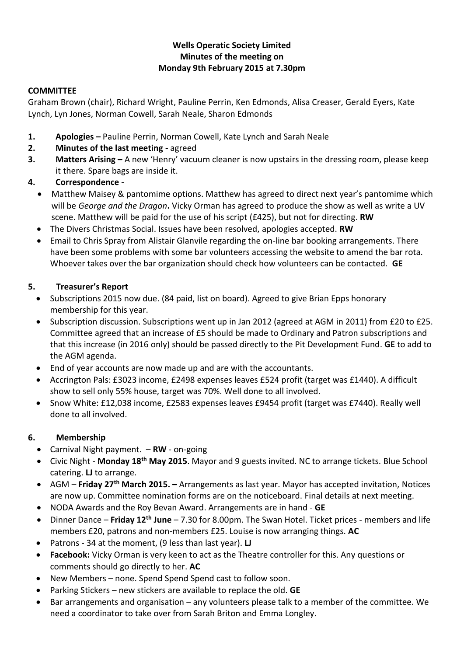### **Wells Operatic Society Limited Minutes of the meeting on Monday 9th February 2015 at 7.30pm**

### **COMMITTEE**

Graham Brown (chair), Richard Wright, Pauline Perrin, Ken Edmonds, Alisa Creaser, Gerald Eyers, Kate Lynch, Lyn Jones, Norman Cowell, Sarah Neale, Sharon Edmonds

- **1. Apologies –** Pauline Perrin, Norman Cowell, Kate Lynch and Sarah Neale
- **2. Minutes of the last meeting -** agreed
- **3. Matters Arising –** A new 'Henry' vacuum cleaner is now upstairs in the dressing room, please keep it there. Spare bags are inside it.

### **4. Correspondence -**

- Matthew Maisey & pantomime options. Matthew has agreed to direct next year's pantomime which will be *George and the Dragon***.** Vicky Orman has agreed to produce the show as well as write a UV scene. Matthew will be paid for the use of his script (£425), but not for directing. **RW**
- The Divers Christmas Social. Issues have been resolved, apologies accepted. **RW**
- Email to Chris Spray from Alistair Glanvile regarding the on-line bar booking arrangements. There have been some problems with some bar volunteers accessing the website to amend the bar rota. Whoever takes over the bar organization should check how volunteers can be contacted. **GE**

### **5. Treasurer's Report**

- Subscriptions 2015 now due. (84 paid, list on board). Agreed to give Brian Epps honorary membership for this year.
- Subscription discussion. Subscriptions went up in Jan 2012 (agreed at AGM in 2011) from £20 to £25. Committee agreed that an increase of £5 should be made to Ordinary and Patron subscriptions and that this increase (in 2016 only) should be passed directly to the Pit Development Fund. **GE** to add to the AGM agenda.
- End of year accounts are now made up and are with the accountants.
- Accrington Pals: £3023 income, £2498 expenses leaves £524 profit (target was £1440). A difficult show to sell only 55% house, target was 70%. Well done to all involved.
- Snow White: £12,038 income, £2583 expenses leaves £9454 profit (target was £7440). Really well done to all involved.

### **6. Membership**

- Carnival Night payment. **RW** on-going
- Civic Night **Monday 18th May 2015**. Mayor and 9 guests invited. NC to arrange tickets. Blue School catering. **LJ** to arrange.
- AGM **Friday 27th March 2015. –** Arrangements as last year. Mayor has accepted invitation, Notices are now up. Committee nomination forms are on the noticeboard. Final details at next meeting.
- NODA Awards and the Roy Bevan Award. Arrangements are in hand **GE**
- Dinner Dance **Friday 12th June** 7.30 for 8.00pm. The Swan Hotel. Ticket prices members and life members £20, patrons and non-members £25. Louise is now arranging things. **AC**
- Patrons 34 at the moment, (9 less than last year). **LJ**
- **Facebook:** Vicky Orman is very keen to act as the Theatre controller for this. Any questions or comments should go directly to her. **AC**
- New Members none. Spend Spend Spend cast to follow soon.
- Parking Stickers new stickers are available to replace the old. **GE**
- Bar arrangements and organisation any volunteers please talk to a member of the committee. We need a coordinator to take over from Sarah Briton and Emma Longley.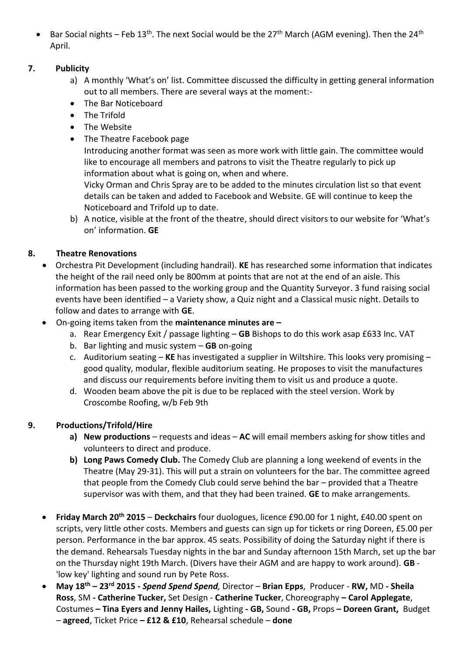• Bar Social nights – Feb 13<sup>th</sup>. The next Social would be the 27<sup>th</sup> March (AGM evening). Then the 24<sup>th</sup> April.

## **7. Publicity**

- a) A monthly 'What's on' list. Committee discussed the difficulty in getting general information out to all members. There are several ways at the moment:-
- The Bar Noticeboard
- The Trifold
- The Website
- The Theatre Facebook page

Introducing another format was seen as more work with little gain. The committee would like to encourage all members and patrons to visit the Theatre regularly to pick up information about what is going on, when and where.

Vicky Orman and Chris Spray are to be added to the minutes circulation list so that event details can be taken and added to Facebook and Website. GE will continue to keep the Noticeboard and Trifold up to date.

b) A notice, visible at the front of the theatre, should direct visitors to our website for 'What's on' information. **GE**

## **8. Theatre Renovations**

- Orchestra Pit Development (including handrail). **KE** has researched some information that indicates the height of the rail need only be 800mm at points that are not at the end of an aisle. This information has been passed to the working group and the Quantity Surveyor. 3 fund raising social events have been identified – a Variety show, a Quiz night and a Classical music night. Details to follow and dates to arrange with **GE**.
- On-going items taken from the **maintenance minutes are –**
	- a. Rear Emergency Exit / passage lighting **GB** Bishops to do this work asap £633 Inc. VAT
	- b. Bar lighting and music system **GB** on-going
	- c. Auditorium seating **KE** has investigated a supplier in Wiltshire. This looks very promising good quality, modular, flexible auditorium seating. He proposes to visit the manufactures and discuss our requirements before inviting them to visit us and produce a quote.
	- d. Wooden beam above the pit is due to be replaced with the steel version. Work by Croscombe Roofing, w/b Feb 9th

## **9. Productions/Trifold/Hire**

- **a) New productions** requests and ideas **AC** will email members asking for show titles and volunteers to direct and produce.
- **b) Long Paws Comedy Club.** The Comedy Club are planning a long weekend of events in the Theatre (May 29-31). This will put a strain on volunteers for the bar. The committee agreed that people from the Comedy Club could serve behind the bar – provided that a Theatre supervisor was with them, and that they had been trained. **GE** to make arrangements.
- **Friday March 20th 2015 Deckchairs** four duologues, licence £90.00 for 1 night, £40.00 spent on scripts, very little other costs. Members and guests can sign up for tickets or ring Doreen, £5.00 per person. Performance in the bar approx. 45 seats. Possibility of doing the Saturday night if there is the demand. Rehearsals Tuesday nights in the bar and Sunday afternoon 15th March, set up the bar on the Thursday night 19th March. (Divers have their AGM and are happy to work around). **GB** - 'low key' lighting and sound run by Pete Ross.
- **May 18th – 23rd 2015** *- Spend Spend Spend,* Director **Brian Epps**, Producer **RW,** MD **- Sheila Ross**, SM **- Catherine Tucker,** Set Design - **Catherine Tucker**, Choreography **– Carol Applegate**, Costumes **– Tina Eyers and Jenny Hailes,** Lighting **- GB,** Sound **- GB,** Props **– Doreen Grant,** Budget – **agreed**, Ticket Price **– £12 & £10**, Rehearsal schedule – **done**